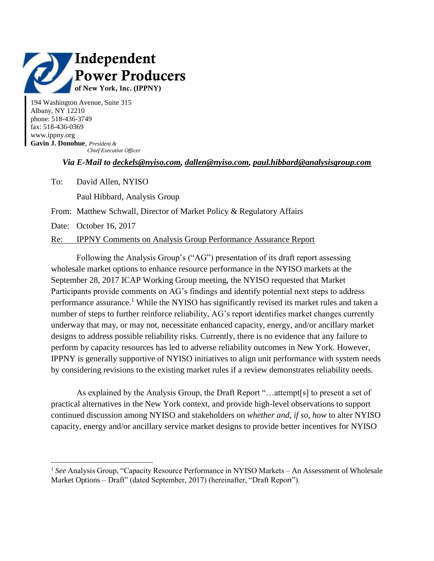

194 Washington Avenue, Suite 315 Albany, NY 12210 phone: 518-436-3749 fax: 518-436-0369 www.ippny.org **Gavin J. Donohue**, *President &*

 *Chief Executive Officer*

*Via E-Mail to [deckels@nyiso.com,](mailto:deckels@nyiso.com) [dallen@nyiso.com,](mailto:dallen@nyiso.com) [paul.hibbard@analysisgroup.com](mailto:paul.hibbard@analysisgroup.com)*

To: David Allen, NYISO

Paul Hibbard, Analysis Group

From: Matthew Schwall, Director of Market Policy & Regulatory Affairs

Date: October 16, 2017

 $\overline{a}$ 

## Re: IPPNY Comments on Analysis Group Performance Assurance Report

Following the Analysis Group's ("AG") presentation of its draft report assessing wholesale market options to enhance resource performance in the NYISO markets at the September 28, 2017 ICAP Working Group meeting, the NYISO requested that Market Participants provide comments on AG's findings and identify potential next steps to address performance assurance.<sup>1</sup> While the NYISO has significantly revised its market rules and taken a number of steps to further reinforce reliability, AG's report identifies market changes currently underway that may, or may not, necessitate enhanced capacity, energy, and/or ancillary market designs to address possible reliability risks. Currently, there is no evidence that any failure to perform by capacity resources has led to adverse reliability outcomes in New York. However, IPPNY is generally supportive of NYISO initiatives to align unit performance with system needs by considering revisions to the existing market rules if a review demonstrates reliability needs.

As explained by the Analysis Group, the Draft Report "…attempt[s] to present a set of practical alternatives in the New York context, and provide high-level observations to support continued discussion among NYISO and stakeholders on *whether and, if so, how* to alter NYISO capacity, energy and/or ancillary service market designs to provide better incentives for NYISO

<sup>1</sup> *See* Analysis Group, "Capacity Resource Performance in NYISO Markets – An Assessment of Wholesale Market Options – Draft" (dated September, 2017) (hereinafter, "Draft Report").